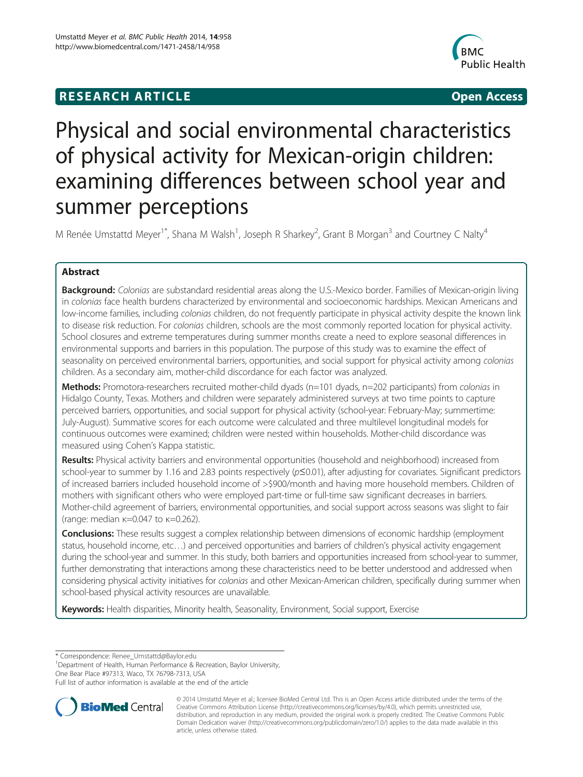# **RESEARCH ARTICLE Example 2008 CONSIDERING CONSIDERING CONSIDERING CONSIDERING CONSIDERING CONSIDERING CONSIDERING CONSIDERING CONSIDERING CONSIDERING CONSIDERING CONSIDERING CONSIDERING CONSIDERING CONSIDERING CONSIDE**



# Physical and social environmental characteristics of physical activity for Mexican-origin children: examining differences between school year and summer perceptions

M Renée Umstattd Meyer<sup>1\*</sup>, Shana M Walsh<sup>1</sup>, Joseph R Sharkey<sup>2</sup>, Grant B Morgan<sup>3</sup> and Courtney C Nalty<sup>4</sup>

# Abstract

Background: Colonias are substandard residential areas along the U.S.-Mexico border. Families of Mexican-origin living in colonias face health burdens characterized by environmental and socioeconomic hardships. Mexican Americans and low-income families, including colonias children, do not frequently participate in physical activity despite the known link to disease risk reduction. For colonias children, schools are the most commonly reported location for physical activity. School closures and extreme temperatures during summer months create a need to explore seasonal differences in environmental supports and barriers in this population. The purpose of this study was to examine the effect of seasonality on perceived environmental barriers, opportunities, and social support for physical activity among colonias children. As a secondary aim, mother-child discordance for each factor was analyzed.

Methods: Promotora-researchers recruited mother-child dyads (n=101 dyads, n=202 participants) from colonias in Hidalgo County, Texas. Mothers and children were separately administered surveys at two time points to capture perceived barriers, opportunities, and social support for physical activity (school-year: February-May; summertime: July-August). Summative scores for each outcome were calculated and three multilevel longitudinal models for continuous outcomes were examined; children were nested within households. Mother-child discordance was measured using Cohen's Kappa statistic.

Results: Physical activity barriers and environmental opportunities (household and neighborhood) increased from school-year to summer by 1.16 and 2.83 points respectively (p≤0.01), after adjusting for covariates. Significant predictors of increased barriers included household income of >\$900/month and having more household members. Children of mothers with significant others who were employed part-time or full-time saw significant decreases in barriers. Mother-child agreement of barriers, environmental opportunities, and social support across seasons was slight to fair (range: median κ=0.047 to κ=0.262).

Conclusions: These results suggest a complex relationship between dimensions of economic hardship (employment status, household income, etc…) and perceived opportunities and barriers of children's physical activity engagement during the school-year and summer. In this study, both barriers and opportunities increased from school-year to summer, further demonstrating that interactions among these characteristics need to be better understood and addressed when considering physical activity initiatives for colonias and other Mexican-American children, specifically during summer when school-based physical activity resources are unavailable.

Keywords: Health disparities, Minority health, Seasonality, Environment, Social support, Exercise

\* Correspondence: [Renee\\_Umstattd@Baylor.edu](mailto:Renee_Umstattd@Baylor.edu) <sup>1</sup>

<sup>1</sup>Department of Health, Human Performance & Recreation, Baylor University, One Bear Place #97313, Waco, TX 76798-7313, USA

Full list of author information is available at the end of the article



<sup>© 2014</sup> Umstattd Meyer et al.; licensee BioMed Central Ltd. This is an Open Access article distributed under the terms of the Creative Commons Attribution License (<http://creativecommons.org/licenses/by/4.0>), which permits unrestricted use, distribution, and reproduction in any medium, provided the original work is properly credited. The Creative Commons Public Domain Dedication waiver [\(http://creativecommons.org/publicdomain/zero/1.0/\)](http://creativecommons.org/publicdomain/zero/1.0/) applies to the data made available in this article, unless otherwise stated.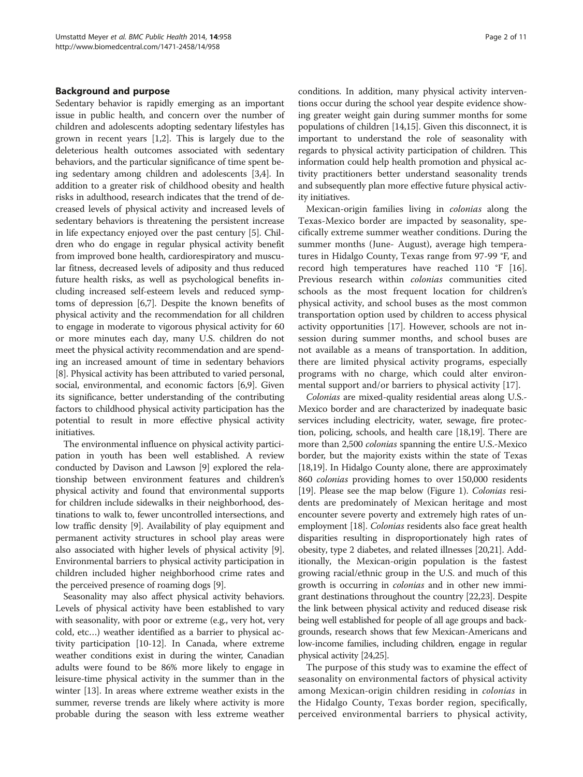### Background and purpose

Sedentary behavior is rapidly emerging as an important issue in public health, and concern over the number of children and adolescents adopting sedentary lifestyles has grown in recent years [\[1,2\]](#page-9-0). This is largely due to the deleterious health outcomes associated with sedentary behaviors, and the particular significance of time spent being sedentary among children and adolescents [\[3,4\]](#page-9-0). In addition to a greater risk of childhood obesity and health risks in adulthood, research indicates that the trend of decreased levels of physical activity and increased levels of sedentary behaviors is threatening the persistent increase in life expectancy enjoyed over the past century [\[5\]](#page-9-0). Children who do engage in regular physical activity benefit from improved bone health, cardiorespiratory and muscular fitness, decreased levels of adiposity and thus reduced future health risks, as well as psychological benefits including increased self-esteem levels and reduced symptoms of depression [\[6,7\]](#page-9-0). Despite the known benefits of physical activity and the recommendation for all children to engage in moderate to vigorous physical activity for 60 or more minutes each day, many U.S. children do not meet the physical activity recommendation and are spending an increased amount of time in sedentary behaviors [[8\]](#page-9-0). Physical activity has been attributed to varied personal, social, environmental, and economic factors [[6,9](#page-9-0)]. Given its significance, better understanding of the contributing factors to childhood physical activity participation has the potential to result in more effective physical activity initiatives.

The environmental influence on physical activity participation in youth has been well established. A review conducted by Davison and Lawson [\[9](#page-9-0)] explored the relationship between environment features and children's physical activity and found that environmental supports for children include sidewalks in their neighborhood, destinations to walk to, fewer uncontrolled intersections, and low traffic density [\[9](#page-9-0)]. Availability of play equipment and permanent activity structures in school play areas were also associated with higher levels of physical activity [[9](#page-9-0)]. Environmental barriers to physical activity participation in children included higher neighborhood crime rates and the perceived presence of roaming dogs [[9\]](#page-9-0).

Seasonality may also affect physical activity behaviors. Levels of physical activity have been established to vary with seasonality, with poor or extreme (e.g., very hot, very cold, etc…) weather identified as a barrier to physical activity participation [[10-12\]](#page-9-0). In Canada, where extreme weather conditions exist in during the winter, Canadian adults were found to be 86% more likely to engage in leisure-time physical activity in the summer than in the winter [[13](#page-9-0)]. In areas where extreme weather exists in the summer, reverse trends are likely where activity is more probable during the season with less extreme weather

conditions. In addition, many physical activity interventions occur during the school year despite evidence showing greater weight gain during summer months for some populations of children [\[14,15\]](#page-9-0). Given this disconnect, it is important to understand the role of seasonality with regards to physical activity participation of children. This information could help health promotion and physical activity practitioners better understand seasonality trends and subsequently plan more effective future physical activity initiatives.

Mexican-origin families living in colonias along the Texas-Mexico border are impacted by seasonality, specifically extreme summer weather conditions. During the summer months (June- August), average high temperatures in Hidalgo County, Texas range from 97-99 °F, and record high temperatures have reached 110 °F [\[16](#page-9-0)]. Previous research within colonias communities cited schools as the most frequent location for children's physical activity, and school buses as the most common transportation option used by children to access physical activity opportunities [\[17\]](#page-9-0). However, schools are not insession during summer months, and school buses are not available as a means of transportation. In addition, there are limited physical activity programs, especially programs with no charge, which could alter environmental support and/or barriers to physical activity [[17\]](#page-9-0).

Colonias are mixed-quality residential areas along U.S.- Mexico border and are characterized by inadequate basic services including electricity, water, sewage, fire protection, policing, schools, and health care [[18](#page-9-0),[19](#page-9-0)]. There are more than 2,500 colonias spanning the entire U.S.-Mexico border, but the majority exists within the state of Texas [[18](#page-9-0),[19](#page-9-0)]. In Hidalgo County alone, there are approximately 860 colonias providing homes to over 150,000 residents [[19](#page-9-0)]. Please see the map below (Figure [1](#page-2-0)). Colonias residents are predominately of Mexican heritage and most encounter severe poverty and extremely high rates of un-employment [[18](#page-9-0)]. Colonias residents also face great health disparities resulting in disproportionately high rates of obesity, type 2 diabetes, and related illnesses [[20,21\]](#page-9-0). Additionally, the Mexican-origin population is the fastest growing racial/ethnic group in the U.S. and much of this growth is occurring in colonias and in other new immigrant destinations throughout the country [\[22,23\]](#page-9-0). Despite the link between physical activity and reduced disease risk being well established for people of all age groups and backgrounds, research shows that few Mexican-Americans and low-income families, including children, engage in regular physical activity [[24,25\]](#page-9-0).

The purpose of this study was to examine the effect of seasonality on environmental factors of physical activity among Mexican-origin children residing in colonias in the Hidalgo County, Texas border region, specifically, perceived environmental barriers to physical activity,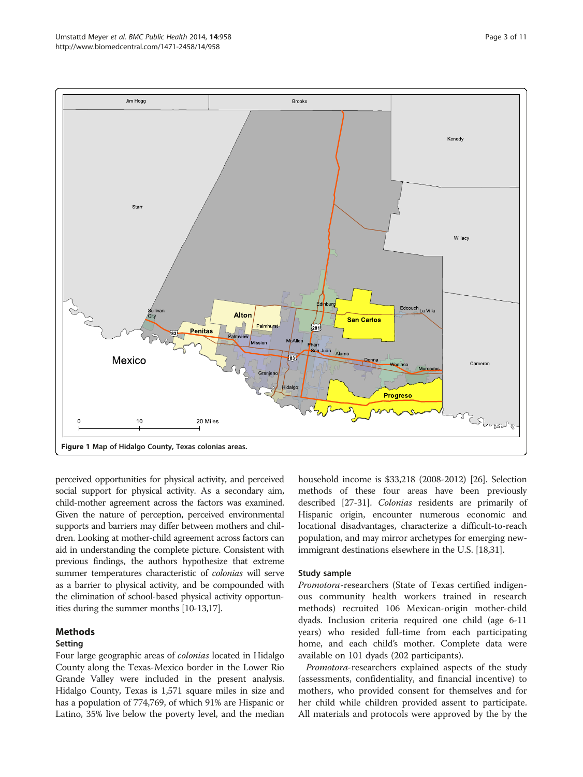<span id="page-2-0"></span>

perceived opportunities for physical activity, and perceived social support for physical activity. As a secondary aim, child-mother agreement across the factors was examined. Given the nature of perception, perceived environmental supports and barriers may differ between mothers and children. Looking at mother-child agreement across factors can aid in understanding the complete picture. Consistent with previous findings, the authors hypothesize that extreme summer temperatures characteristic of *colonias* will serve as a barrier to physical activity, and be compounded with the elimination of school-based physical activity opportunities during the summer months [[10](#page-9-0)-[13,17](#page-9-0)].

# Methods

# Setting

Four large geographic areas of colonias located in Hidalgo County along the Texas-Mexico border in the Lower Rio Grande Valley were included in the present analysis. Hidalgo County, Texas is 1,571 square miles in size and has a population of 774,769, of which 91% are Hispanic or Latino, 35% live below the poverty level, and the median

household income is \$33,218 (2008-2012) [\[26](#page-9-0)]. Selection methods of these four areas have been previously described [\[27-31\]](#page-9-0). Colonias residents are primarily of Hispanic origin, encounter numerous economic and locational disadvantages, characterize a difficult-to-reach population, and may mirror archetypes for emerging newimmigrant destinations elsewhere in the U.S. [\[18,31](#page-9-0)].

# Study sample

Promotora-researchers (State of Texas certified indigenous community health workers trained in research methods) recruited 106 Mexican-origin mother-child dyads. Inclusion criteria required one child (age 6-11 years) who resided full-time from each participating home, and each child's mother. Complete data were available on 101 dyads (202 participants).

Promotora-researchers explained aspects of the study (assessments, confidentiality, and financial incentive) to mothers, who provided consent for themselves and for her child while children provided assent to participate. All materials and protocols were approved by the by the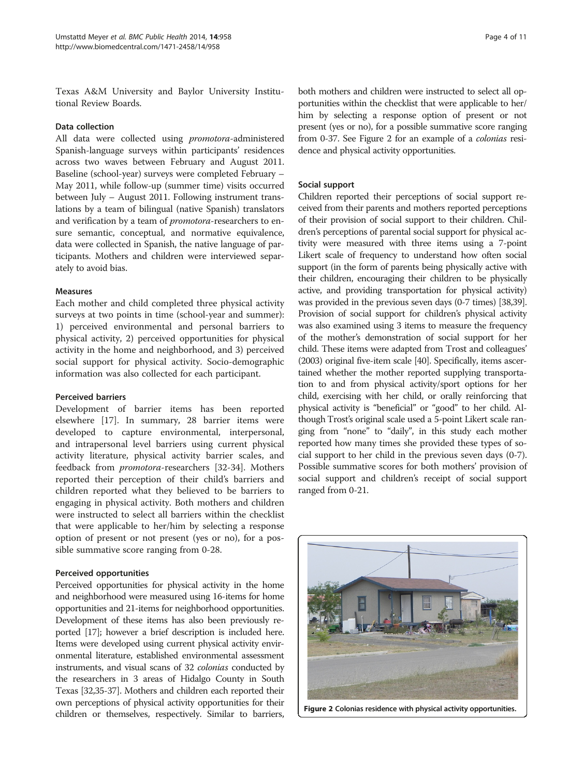Texas A&M University and Baylor University Institutional Review Boards.

### Data collection

All data were collected using promotora-administered Spanish-language surveys within participants' residences across two waves between February and August 2011. Baseline (school-year) surveys were completed February – May 2011, while follow-up (summer time) visits occurred between July – August 2011. Following instrument translations by a team of bilingual (native Spanish) translators and verification by a team of promotora-researchers to ensure semantic, conceptual, and normative equivalence, data were collected in Spanish, the native language of participants. Mothers and children were interviewed separately to avoid bias.

#### Measures

Each mother and child completed three physical activity surveys at two points in time (school-year and summer): 1) perceived environmental and personal barriers to physical activity, 2) perceived opportunities for physical activity in the home and neighborhood, and 3) perceived social support for physical activity. Socio-demographic information was also collected for each participant.

#### Perceived barriers

Development of barrier items has been reported elsewhere [[17](#page-9-0)]. In summary, 28 barrier items were developed to capture environmental, interpersonal, and intrapersonal level barriers using current physical activity literature, physical activity barrier scales, and feedback from promotora-researchers [\[32](#page-9-0)-[34\]](#page-9-0). Mothers reported their perception of their child's barriers and children reported what they believed to be barriers to engaging in physical activity. Both mothers and children were instructed to select all barriers within the checklist that were applicable to her/him by selecting a response option of present or not present (yes or no), for a possible summative score ranging from 0-28.

#### Perceived opportunities

Perceived opportunities for physical activity in the home and neighborhood were measured using 16-items for home opportunities and 21-items for neighborhood opportunities. Development of these items has also been previously reported [[17](#page-9-0)]; however a brief description is included here. Items were developed using current physical activity environmental literature, established environmental assessment instruments, and visual scans of 32 colonias conducted by the researchers in 3 areas of Hidalgo County in South Texas [[32,35](#page-9-0)-[37](#page-10-0)]. Mothers and children each reported their own perceptions of physical activity opportunities for their children or themselves, respectively. Similar to barriers,

both mothers and children were instructed to select all opportunities within the checklist that were applicable to her/ him by selecting a response option of present or not present (yes or no), for a possible summative score ranging from 0-37. See Figure 2 for an example of a colonias residence and physical activity opportunities.

#### Social support

Children reported their perceptions of social support received from their parents and mothers reported perceptions of their provision of social support to their children. Children's perceptions of parental social support for physical activity were measured with three items using a 7-point Likert scale of frequency to understand how often social support (in the form of parents being physically active with their children, encouraging their children to be physically active, and providing transportation for physical activity) was provided in the previous seven days (0-7 times) [[38,39](#page-10-0)]. Provision of social support for children's physical activity was also examined using 3 items to measure the frequency of the mother's demonstration of social support for her child. These items were adapted from Trost and colleagues' (2003) original five-item scale [\[40\]](#page-10-0). Specifically, items ascertained whether the mother reported supplying transportation to and from physical activity/sport options for her child, exercising with her child, or orally reinforcing that physical activity is "beneficial" or "good" to her child. Although Trost's original scale used a 5-point Likert scale ranging from "none" to "daily", in this study each mother reported how many times she provided these types of social support to her child in the previous seven days (0-7). Possible summative scores for both mothers' provision of social support and children's receipt of social support ranged from 0-21.



Figure 2 Colonias residence with physical activity opportunities.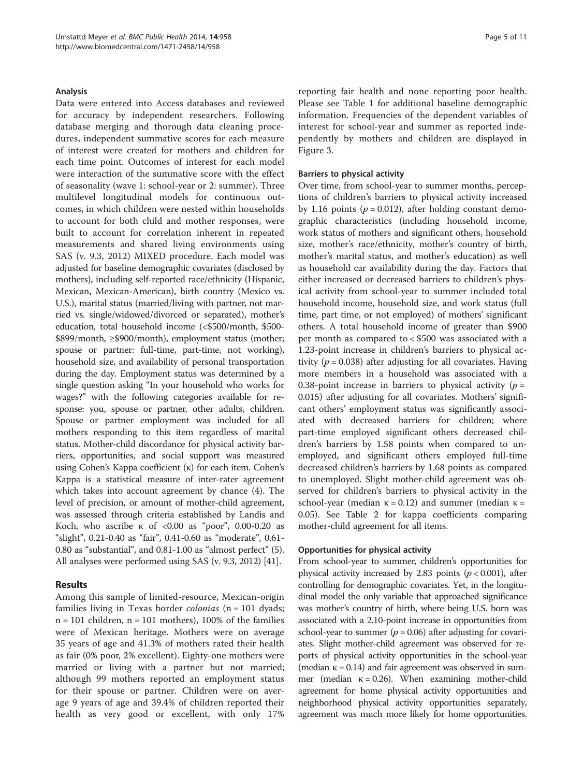#### Analysis

Data were entered into Access databases and reviewed for accuracy by independent researchers. Following database merging and thorough data cleaning procedures, independent summative scores for each measure of interest were created for mothers and children for each time point. Outcomes of interest for each model were interaction of the summative score with the effect of seasonality (wave 1: school-year or 2: summer). Three multilevel longitudinal models for continuous outcomes, in which children were nested within households to account for both child and mother responses, were built to account for correlation inherent in repeated measurements and shared living environments using SAS (v. 9.3, 2012) MIXED procedure. Each model was adjusted for baseline demographic covariates (disclosed by mothers), including self-reported race/ethnicity (Hispanic, Mexican, Mexican-American), birth country (Mexico vs. U.S.), marital status (married/living with partner, not married vs. single/widowed/divorced or separated), mother's education, total household income (<\$500/month, \$500- \$899/month, ≥\$900/month), employment status (mother; spouse or partner: full-time, part-time, not working), household size, and availability of personal transportation during the day. Employment status was determined by a single question asking "In your household who works for wages?" with the following categories available for response: you, spouse or partner, other adults, children. Spouse or partner employment was included for all mothers responding to this item regardless of marital status. Mother-child discordance for physical activity barriers, opportunities, and social support was measured using Cohen's Kappa coefficient (κ) for each item. Cohen's Kappa is a statistical measure of inter-rater agreement which takes into account agreement by chance (4). The level of precision, or amount of mother-child agreement, was assessed through criteria established by Landis and Koch, who ascribe κ of <0.00 as "poor",  $0.00-0.20$  as "slight", 0.21-0.40 as "fair", 0.41-0.60 as "moderate", 0.61- 0.80 as "substantial", and 0.81-1.00 as "almost perfect" (5). All analyses were performed using SAS (v. 9.3, 2012) [\[41](#page-10-0)].

#### Results

Among this sample of limited-resource, Mexican-origin families living in Texas border *colonias* ( $n = 101$  dyads;  $n = 101$  children,  $n = 101$  mothers), 100% of the families were of Mexican heritage. Mothers were on average 35 years of age and 41.3% of mothers rated their health as fair (0% poor, 2% excellent). Eighty-one mothers were married or living with a partner but not married; although 99 mothers reported an employment status for their spouse or partner. Children were on average 9 years of age and 39.4% of children reported their health as very good or excellent, with only 17%

reporting fair health and none reporting poor health. Please see Table [1](#page-5-0) for additional baseline demographic information. Frequencies of the dependent variables of interest for school-year and summer as reported independently by mothers and children are displayed in Figure [3.](#page-6-0)

#### Barriers to physical activity

Over time, from school-year to summer months, perceptions of children's barriers to physical activity increased by 1.16 points ( $p = 0.012$ ), after holding constant demographic characteristics (including household income, work status of mothers and significant others, household size, mother's race/ethnicity, mother's country of birth, mother's marital status, and mother's education) as well as household car availability during the day. Factors that either increased or decreased barriers to children's physical activity from school-year to summer included total household income, household size, and work status (full time, part time, or not employed) of mothers' significant others. A total household income of greater than \$900 per month as compared to < \$500 was associated with a 1.23-point increase in children's barriers to physical activity ( $p = 0.038$ ) after adjusting for all covariates. Having more members in a household was associated with a 0.38-point increase in barriers to physical activity ( $p =$ 0.015) after adjusting for all covariates. Mothers' significant others' employment status was significantly associated with decreased barriers for children; where part-time employed significant others decreased children's barriers by 1.58 points when compared to unemployed, and significant others employed full-time decreased children's barriers by 1.68 points as compared to unemployed. Slight mother-child agreement was observed for children's barriers to physical activity in the school-year (median  $\kappa = 0.12$ ) and summer (median  $\kappa =$ 0.05). See Table [2](#page-7-0) for kappa coefficients comparing mother-child agreement for all items.

#### Opportunities for physical activity

From school-year to summer, children's opportunities for physical activity increased by 2.83 points ( $p < 0.001$ ), after controlling for demographic covariates. Yet, in the longitudinal model the only variable that approached significance was mother's country of birth, where being U.S. born was associated with a 2.10-point increase in opportunities from school-year to summer ( $p = 0.06$ ) after adjusting for covariates. Slight mother-child agreement was observed for reports of physical activity opportunities in the school-year (median  $\kappa = 0.14$ ) and fair agreement was observed in summer (median  $\kappa = 0.26$ ). When examining mother-child agreement for home physical activity opportunities and neighborhood physical activity opportunities separately, agreement was much more likely for home opportunities.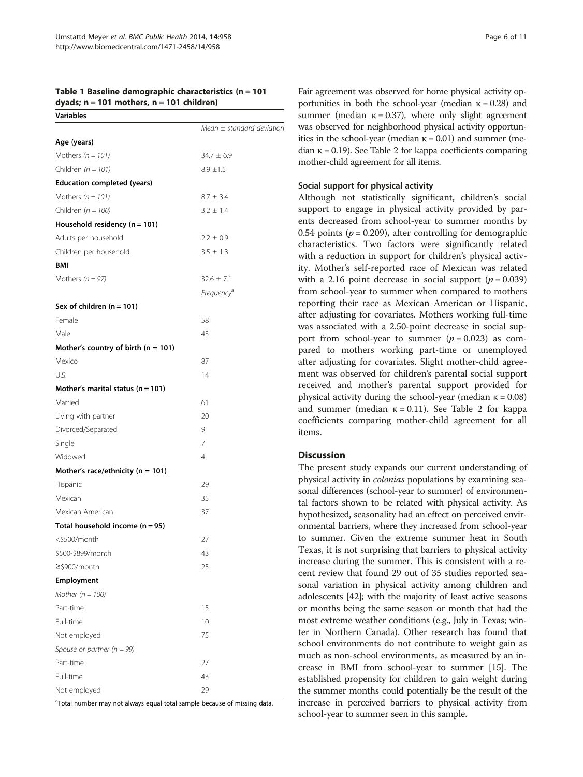<span id="page-5-0"></span>Table 1 Baseline demographic characteristics (n = 101 dyads;  $n = 101$  mothers,  $n = 101$  children)

| <b>Variables</b>                        |                               |
|-----------------------------------------|-------------------------------|
|                                         | Mean $\pm$ standard deviation |
| Age (years)                             |                               |
| Mothers ( $n = 101$ )                   | $34.7 \pm 6.9$                |
| Children ( $n = 101$ )                  | $8.9 \pm 1.5$                 |
| <b>Education completed (years)</b>      |                               |
| Mothers $(n = 101)$                     | $8.7 \pm 3.4$                 |
| Children ( $n = 100$ )                  | $3.2 \pm 1.4$                 |
| Household residency ( $n = 101$ )       |                               |
| Adults per household                    | $2.2 \pm 0.9$                 |
| Children per household                  | $3.5 \pm 1.3$                 |
| BMI                                     |                               |
| Mothers $(n = 97)$                      | $32.6 \pm 7.1$                |
|                                         | Frequency <sup>a</sup>        |
| Sex of children $(n = 101)$             |                               |
| Female                                  | 58                            |
| Male                                    | 43                            |
| Mother's country of birth ( $n = 101$ ) |                               |
| Mexico                                  | 87                            |
| U.S.                                    | 14                            |
| Mother's marital status ( $n = 101$ )   |                               |
| Married                                 | 61                            |
| Living with partner                     | 20                            |
| Divorced/Separated                      | 9                             |
| Single                                  | 7                             |
| Widowed                                 | 4                             |
| Mother's race/ethnicity ( $n = 101$ )   |                               |
| Hispanic                                | 29                            |
| Mexican                                 | 35                            |
| Mexican American                        | 37                            |
| Total household income $(n = 95)$       |                               |
| <\$500/month                            | 27                            |
| \$500-\$899/month                       | 43                            |
| ≥\$900/month                            | 25                            |
| Employment                              |                               |
| Mother ( $n = 100$ )                    |                               |
| Part-time                               | 15                            |
| Full-time                               | 10                            |
| Not employed                            | 75                            |
| Spouse or partner ( $n = 99$ )          |                               |
| Part-time                               | 27                            |
| Full-time                               | 43                            |
| Not employed                            | 29                            |
|                                         |                               |

<sup>a</sup>Total number may not always equal total sample because of missing data.

Fair agreement was observed for home physical activity opportunities in both the school-year (median  $\kappa = 0.28$ ) and summer (median  $\kappa = 0.37$ ), where only slight agreement was observed for neighborhood physical activity opportunities in the school-year (median  $\kappa = 0.01$ ) and summer (median  $κ = 0.19$ ). See Table [2](#page-7-0) for kappa coefficients comparing mother-child agreement for all items.

#### Social support for physical activity

Although not statistically significant, children's social support to engage in physical activity provided by parents decreased from school-year to summer months by 0.54 points ( $p = 0.209$ ), after controlling for demographic characteristics. Two factors were significantly related with a reduction in support for children's physical activity. Mother's self-reported race of Mexican was related with a 2.16 point decrease in social support  $(p = 0.039)$ from school-year to summer when compared to mothers reporting their race as Mexican American or Hispanic, after adjusting for covariates. Mothers working full-time was associated with a 2.50-point decrease in social support from school-year to summer  $(p = 0.023)$  as compared to mothers working part-time or unemployed after adjusting for covariates. Slight mother-child agreement was observed for children's parental social support received and mother's parental support provided for physical activity during the school-year (median  $κ = 0.08$ ) and summer (median  $\kappa = 0.11$ ). See Table [2](#page-7-0) for kappa coefficients comparing mother-child agreement for all items.

#### **Discussion**

The present study expands our current understanding of physical activity in colonias populations by examining seasonal differences (school-year to summer) of environmental factors shown to be related with physical activity. As hypothesized, seasonality had an effect on perceived environmental barriers, where they increased from school-year to summer. Given the extreme summer heat in South Texas, it is not surprising that barriers to physical activity increase during the summer. This is consistent with a recent review that found 29 out of 35 studies reported seasonal variation in physical activity among children and adolescents [\[42\]](#page-10-0); with the majority of least active seasons or months being the same season or month that had the most extreme weather conditions (e.g., July in Texas; winter in Northern Canada). Other research has found that school environments do not contribute to weight gain as much as non-school environments, as measured by an increase in BMI from school-year to summer [\[15](#page-9-0)]. The established propensity for children to gain weight during the summer months could potentially be the result of the increase in perceived barriers to physical activity from school-year to summer seen in this sample.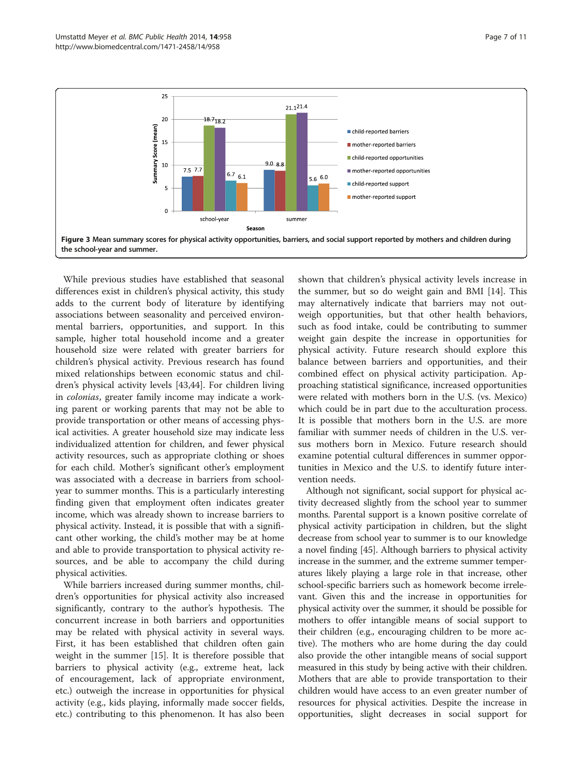<span id="page-6-0"></span>

While previous studies have established that seasonal differences exist in children's physical activity, this study adds to the current body of literature by identifying associations between seasonality and perceived environmental barriers, opportunities, and support. In this sample, higher total household income and a greater household size were related with greater barriers for children's physical activity. Previous research has found mixed relationships between economic status and children's physical activity levels [[43](#page-10-0),[44](#page-10-0)]. For children living in colonias, greater family income may indicate a working parent or working parents that may not be able to provide transportation or other means of accessing physical activities. A greater household size may indicate less individualized attention for children, and fewer physical activity resources, such as appropriate clothing or shoes for each child. Mother's significant other's employment was associated with a decrease in barriers from schoolyear to summer months. This is a particularly interesting finding given that employment often indicates greater income, which was already shown to increase barriers to physical activity. Instead, it is possible that with a significant other working, the child's mother may be at home and able to provide transportation to physical activity resources, and be able to accompany the child during physical activities.

While barriers increased during summer months, children's opportunities for physical activity also increased significantly, contrary to the author's hypothesis. The concurrent increase in both barriers and opportunities may be related with physical activity in several ways. First, it has been established that children often gain weight in the summer [\[15\]](#page-9-0). It is therefore possible that barriers to physical activity (e.g., extreme heat, lack of encouragement, lack of appropriate environment, etc.) outweigh the increase in opportunities for physical activity (e.g., kids playing, informally made soccer fields, etc.) contributing to this phenomenon. It has also been

shown that children's physical activity levels increase in the summer, but so do weight gain and BMI [\[14](#page-9-0)]. This may alternatively indicate that barriers may not outweigh opportunities, but that other health behaviors, such as food intake, could be contributing to summer weight gain despite the increase in opportunities for physical activity. Future research should explore this balance between barriers and opportunities, and their combined effect on physical activity participation. Approaching statistical significance, increased opportunities were related with mothers born in the U.S. (vs. Mexico) which could be in part due to the acculturation process. It is possible that mothers born in the U.S. are more familiar with summer needs of children in the U.S. versus mothers born in Mexico. Future research should examine potential cultural differences in summer opportunities in Mexico and the U.S. to identify future intervention needs.

Although not significant, social support for physical activity decreased slightly from the school year to summer months. Parental support is a known positive correlate of physical activity participation in children, but the slight decrease from school year to summer is to our knowledge a novel finding [\[45\]](#page-10-0). Although barriers to physical activity increase in the summer, and the extreme summer temperatures likely playing a large role in that increase, other school-specific barriers such as homework become irrelevant. Given this and the increase in opportunities for physical activity over the summer, it should be possible for mothers to offer intangible means of social support to their children (e.g., encouraging children to be more active). The mothers who are home during the day could also provide the other intangible means of social support measured in this study by being active with their children. Mothers that are able to provide transportation to their children would have access to an even greater number of resources for physical activities. Despite the increase in opportunities, slight decreases in social support for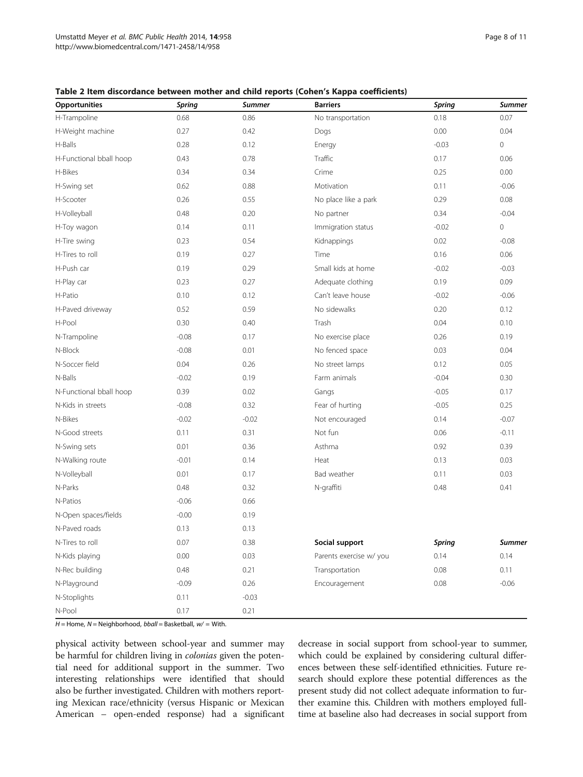physical activity between school-year and summer may be harmful for children living in colonias given the potential need for additional support in the summer. Two interesting relationships were identified that should also be further investigated. Children with mothers reporting Mexican race/ethnicity (versus Hispanic or Mexican American – open-ended response) had a significant decrease in social support from school-year to summer, which could be explained by considering cultural differences between these self-identified ethnicities. Future research should explore these potential differences as the present study did not collect adequate information to further examine this. Children with mothers employed fulltime at baseline also had decreases in social support from

<span id="page-7-0"></span>

| Table 2 Item discordance between mother and child reports (Cohen's Kappa coefficients) |  |  |
|----------------------------------------------------------------------------------------|--|--|
|----------------------------------------------------------------------------------------|--|--|

| Opportunities           | <b>Spring</b> | <b>Summer</b> | <b>Barriers</b>         | <b>Spring</b> | Summer  |
|-------------------------|---------------|---------------|-------------------------|---------------|---------|
| H-Trampoline            | 0.68          | 0.86          | No transportation       | 0.18          | 0.07    |
| H-Weight machine        | 0.27          | 0.42          | Dogs                    | 0.00          | 0.04    |
| H-Balls                 | 0.28          | 0.12          | Energy                  | $-0.03$       | 0       |
| H-Functional bball hoop | 0.43          | 0.78          | Traffic                 | 0.17          | 0.06    |
| H-Bikes                 | 0.34          | 0.34          | Crime                   | 0.25          | 0.00    |
| H-Swing set             | 0.62          | 0.88          | Motivation              | 0.11          | $-0.06$ |
| H-Scooter               | 0.26          | 0.55          | No place like a park    | 0.29          | 0.08    |
| H-Volleyball            | 0.48          | 0.20          | No partner              | 0.34          | $-0.04$ |
| H-Toy wagon             | 0.14          | 0.11          | Immigration status      | $-0.02$       | 0       |
| H-Tire swing            | 0.23          | 0.54          | Kidnappings             | 0.02          | $-0.08$ |
| H-Tires to roll         | 0.19          | 0.27          | Time                    | 0.16          | 0.06    |
| H-Push car              | 0.19          | 0.29          | Small kids at home      | $-0.02$       | $-0.03$ |
| H-Play car              | 0.23          | 0.27          | Adequate clothing       | 0.19          | 0.09    |
| H-Patio                 | 0.10          | 0.12          | Can't leave house       | $-0.02$       | $-0.06$ |
| H-Paved driveway        | 0.52          | 0.59          | No sidewalks            | 0.20          | 0.12    |
| H-Pool                  | 0.30          | 0.40          | Trash                   | 0.04          | 0.10    |
| N-Trampoline            | $-0.08$       | 0.17          | No exercise place       | 0.26          | 0.19    |
| N-Block                 | $-0.08$       | 0.01          | No fenced space         | 0.03          | 0.04    |
| N-Soccer field          | 0.04          | 0.26          | No street lamps         | 0.12          | 0.05    |
| N-Balls                 | $-0.02$       | 0.19          | Farm animals            | $-0.04$       | 0.30    |
| N-Functional bball hoop | 0.39          | 0.02          | Gangs                   | $-0.05$       | 0.17    |
| N-Kids in streets       | $-0.08$       | 0.32          | Fear of hurting         | $-0.05$       | 0.25    |
| N-Bikes                 | $-0.02$       | $-0.02$       | Not encouraged          | 0.14          | $-0.07$ |
| N-Good streets          | 0.11          | 0.31          | Not fun                 | 0.06          | $-0.11$ |
| N-Swing sets            | 0.01          | 0.36          | Asthma                  | 0.92          | 0.39    |
| N-Walking route         | $-0.01$       | 0.14          | Heat                    | 0.13          | 0.03    |
| N-Volleyball            | 0.01          | 0.17          | Bad weather             | 0.11          | 0.03    |
| N-Parks                 | 0.48          | 0.32          | N-graffiti              | 0.48          | 0.41    |
| N-Patios                | $-0.06$       | 0.66          |                         |               |         |
| N-Open spaces/fields    | $-0.00$       | 0.19          |                         |               |         |
| N-Paved roads           | 0.13          | 0.13          |                         |               |         |
| N-Tires to roll         | 0.07          | 0.38          | Social support          | <b>Spring</b> | Summer  |
| N-Kids playing          | 0.00          | 0.03          | Parents exercise w/ you | 0.14          | 0.14    |
| N-Rec building          | 0.48          | 0.21          | Transportation          | 0.08          | 0.11    |
| N-Playground            | $-0.09$       | 0.26          | Encouragement           | 0.08          | $-0.06$ |
| N-Stoplights            | 0.11          | $-0.03$       |                         |               |         |
| N-Pool                  | 0.17          | 0.21          |                         |               |         |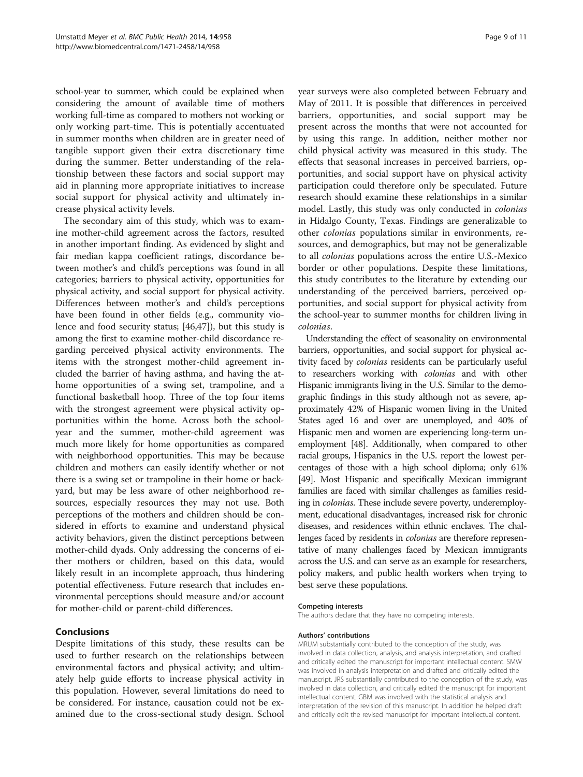school-year to summer, which could be explained when considering the amount of available time of mothers working full-time as compared to mothers not working or only working part-time. This is potentially accentuated in summer months when children are in greater need of tangible support given their extra discretionary time during the summer. Better understanding of the relationship between these factors and social support may aid in planning more appropriate initiatives to increase social support for physical activity and ultimately increase physical activity levels.

The secondary aim of this study, which was to examine mother-child agreement across the factors, resulted in another important finding. As evidenced by slight and fair median kappa coefficient ratings, discordance between mother's and child's perceptions was found in all categories; barriers to physical activity, opportunities for physical activity, and social support for physical activity. Differences between mother's and child's perceptions have been found in other fields (e.g., community violence and food security status; [[46,47](#page-10-0)]), but this study is among the first to examine mother-child discordance regarding perceived physical activity environments. The items with the strongest mother-child agreement included the barrier of having asthma, and having the athome opportunities of a swing set, trampoline, and a functional basketball hoop. Three of the top four items with the strongest agreement were physical activity opportunities within the home. Across both the schoolyear and the summer, mother-child agreement was much more likely for home opportunities as compared with neighborhood opportunities. This may be because children and mothers can easily identify whether or not there is a swing set or trampoline in their home or backyard, but may be less aware of other neighborhood resources, especially resources they may not use. Both perceptions of the mothers and children should be considered in efforts to examine and understand physical activity behaviors, given the distinct perceptions between mother-child dyads. Only addressing the concerns of either mothers or children, based on this data, would likely result in an incomplete approach, thus hindering potential effectiveness. Future research that includes environmental perceptions should measure and/or account for mother-child or parent-child differences.

# Conclusions

Despite limitations of this study, these results can be used to further research on the relationships between environmental factors and physical activity; and ultimately help guide efforts to increase physical activity in this population. However, several limitations do need to be considered. For instance, causation could not be examined due to the cross-sectional study design. School

year surveys were also completed between February and May of 2011. It is possible that differences in perceived barriers, opportunities, and social support may be present across the months that were not accounted for by using this range. In addition, neither mother nor child physical activity was measured in this study. The effects that seasonal increases in perceived barriers, opportunities, and social support have on physical activity participation could therefore only be speculated. Future research should examine these relationships in a similar model. Lastly, this study was only conducted in colonias in Hidalgo County, Texas. Findings are generalizable to other colonias populations similar in environments, resources, and demographics, but may not be generalizable to all colonias populations across the entire U.S.-Mexico border or other populations. Despite these limitations, this study contributes to the literature by extending our understanding of the perceived barriers, perceived opportunities, and social support for physical activity from the school-year to summer months for children living in colonias.

Understanding the effect of seasonality on environmental barriers, opportunities, and social support for physical activity faced by colonias residents can be particularly useful to researchers working with colonias and with other Hispanic immigrants living in the U.S. Similar to the demographic findings in this study although not as severe, approximately 42% of Hispanic women living in the United States aged 16 and over are unemployed, and 40% of Hispanic men and women are experiencing long-term unemployment [[48\]](#page-10-0). Additionally, when compared to other racial groups, Hispanics in the U.S. report the lowest percentages of those with a high school diploma; only 61% [[49](#page-10-0)]. Most Hispanic and specifically Mexican immigrant families are faced with similar challenges as families residing in colonias. These include severe poverty, underemployment, educational disadvantages, increased risk for chronic diseases, and residences within ethnic enclaves. The challenges faced by residents in colonias are therefore representative of many challenges faced by Mexican immigrants across the U.S. and can serve as an example for researchers, policy makers, and public health workers when trying to best serve these populations.

#### Competing interests

The authors declare that they have no competing interests.

#### Authors' contributions

MRUM substantially contributed to the conception of the study, was involved in data collection, analysis, and analysis interpretation, and drafted and critically edited the manuscript for important intellectual content. SMW was involved in analysis interpretation and drafted and critically edited the manuscript. JRS substantially contributed to the conception of the study, was involved in data collection, and critically edited the manuscript for important intellectual content. GBM was involved with the statistical analysis and interpretation of the revision of this manuscript. In addition he helped draft and critically edit the revised manuscript for important intellectual content.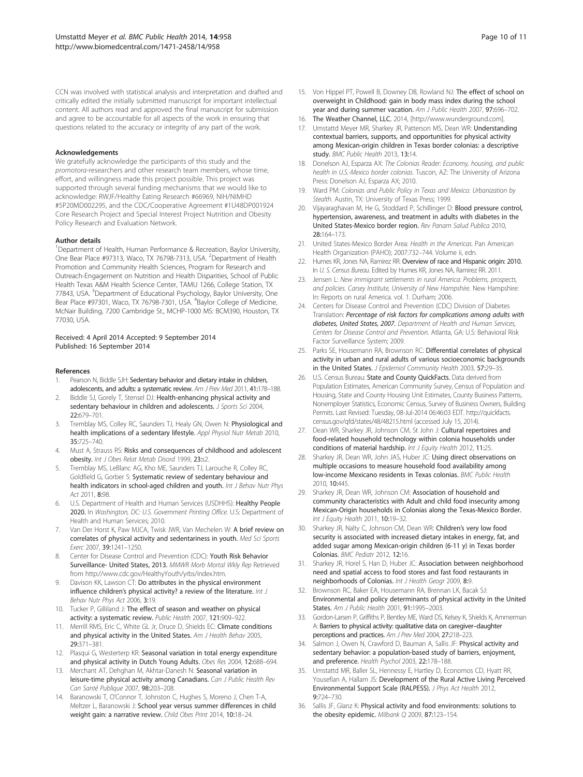<span id="page-9-0"></span>CCN was involved with statistical analysis and interpretation and drafted and critically edited the initially submitted manuscript for important intellectual content. All authors read and approved the final manuscript for submission and agree to be accountable for all aspects of the work in ensuring that questions related to the accuracy or integrity of any part of the work.

#### Acknowledgements

We gratefully acknowledge the participants of this study and the promotora-researchers and other research team members, whose time, effort, and willingness made this project possible. This project was supported through several funding mechanisms that we would like to acknowledge: RWJF/Healthy Eating Research #66969, NIH/NIMHD #5P20MD002295, and the CDC/Cooperative Agreement #1U48DP001924 Core Research Project and Special Interest Project Nutrition and Obesity Policy Research and Evaluation Network.

#### Author details

<sup>1</sup>Department of Health, Human Performance & Recreation, Baylor University, One Bear Place #97313, Waco, TX 76798-7313, USA. <sup>2</sup>Department of Health Promotion and Community Health Sciences, Program for Research and Outreach-Engagement on Nutrition and Health Disparities, School of Public Health Texas A&M Health Science Center, TAMU 1266, College Station, TX 77843, USA. <sup>3</sup>Department of Educational Psychology, Baylor University, One Bear Place #97301, Waco, TX 76798-7301, USA. <sup>4</sup>Baylor College of Medicine, McNair Building, 7200 Cambridge St., MCHP-1000 MS: BCM390, Houston, TX 77030, USA.

#### Received: 4 April 2014 Accepted: 9 September 2014 Published: 16 September 2014

#### References

- 1. Pearson N, Biddle SJH: Sedentary behavior and dietary intake in children, adolescents, and adults: a systematic review. Am J Prev Med 2011, 41:178–188.
- Biddle SJ, Gorely T, Stensel DJ: Health-enhancing physical activity and sedentary behaviour in children and adolescents. J Sports Sci 2004, 22:679–701.
- 3. Tremblay MS, Colley RC, Saunders TJ, Healy GN, Owen N: Physiological and health implications of a sedentary lifestyle. Appl Physiol Nutr Metab 2010, 35:725–740.
- Must A, Strauss RS: Risks and consequences of childhood and adolescent obesity. Int J Obes Relat Metab Disord 1999, 23:s2.
- 5. Tremblay MS, LeBlanc AG, Kho ME, Saunders TJ, Larouche R, Colley RC, Goldfield G, Gorber S: Systematic review of sedentary behaviour and health indicators in school-aged children and youth. Int J Behav Nutr Phys Act 2011, 8:98.
- 6. U.S. Department of Health and Human Services (USDHHS): Healthy People 2020. In Washington, DC: U.S. Government Printing Office. U.S: Department of Health and Human Services; 2010.
- 7. Van Der Horst K, Paw MJCA, Twisk JWR, Van Mechelen W: A brief review on correlates of physical activity and sedentariness in youth. Med Sci Sports Exerc 2007, 39:1241–1250.
- Center for Disease Control and Prevention (CDC): Youth Risk Behavior Surveillance- United States, 2013. MMWR Morb Mortal Wkly Rep Retrieved from [http://www.cdc.gov/HealthyYouth/yrbs/index.htm.](http://www.cdc.gov/HealthyYouth/yrbs/index.htm)
- 9. Davison KK, Lawson CT: Do attributes in the physical environment influence children's physical activity? a review of the literature. Int J Behav Nutr Phys Act 2006, 3:19.
- 10. Tucker P, Gilliland J: The effect of season and weather on physical activity: a systematic review. Public Health 2007, 121:909–922.
- 11. Merrill RMS, Eric C, White GL Jr, Druce D, Shields EC: Climate conditions and physical activity in the United States. Am J Health Behav 2005, 29:371–381.
- 12. Plasqui G, Westerterp KR: Seasonal variation in total energy expenditure and physical activity in Dutch Young Adults. Obes Res 2004, 12:688–694.
- 13. Merchant AT, Dehghan M, Akhtar-Danesh N: Seasonal variation in leisure-time physical activity among Canadians. Can J Public Health Rev Can Santé Publique 2007, 98:203–208.
- 14. Baranowski T, O'Connor T, Johnston C, Hughes S, Moreno J, Chen T-A, Meltzer L, Baranowski J: School year versus summer differences in child weight gain: a narrative review. Child Obes Print 2014, 10:18–24.
- 15. Von Hippel PT, Powell B, Downey DB, Rowland NJ: The effect of school on overweight in Childhood: gain in body mass index during the school year and during summer vacation. Am J Public Health 2007, 97:696–702.
- 16. The Weather Channel, LLC. 2014, [\[http://www.wunderground.com\]](http://www.wunderground.com/).
- 17. Umstattd Meyer MR, Sharkey JR, Patterson MS, Dean WR: Understanding contextual barriers, supports, and opportunities for physical activity among Mexican-origin children in Texas border colonias: a descriptive study. BMC Public Health 2013, 13:14.
- 18. Donelson AJ, Esparza AX: The Colonias Reader: Economy, housing, and public health in U.S.-Mexico border colonias. Tuscon, AZ: The University of Arizona Press: Donelson AJ, Esparza AX; 2010.
- 19. Ward PM: Colonias and Public Policy in Texas and Mexico: Urbanization by Stealth. Austin, TX: University of Texas Press; 1999.
- 20. Vijayaraghavan M, He G, Stoddard P, Schillinger D: Blood pressure control, hypertension, awareness, and treatment in adults with diabetes in the United States-Mexico border region. Rev Panam Salud Publica 2010, 28:164–173.
- 21. United States-Mexico Border Area: Health in the Americas. Pan American Health Organization (PAHO); 2007:732–744. Volume ii, edn.
- 22. Humes KR, Jones NA, Ramirez RR: Overview of race and Hispanic origin: 2010. In U. S. Census Bureau. Edited by Humes KR, Jones NA, Ramirez RR. 2011.
- 23. Jensen L: New immigrant settlements in rural America: Problems, prospects, and policies. Carsey Institute, University of New Hampshire. New Hampshire: In: Reports on rural America. vol. 1. Durham; 2006.
- 24. Centers for Disease Control and Prevention (CDC) Division of Diabetes Translation: Percentage of risk factors for complications among adults with diabetes, United States, 2007. Department of Health and Human Services, Centers for Disease Control and Prevention. Atlanta, GA: U.S: Behavioral Risk Factor Surveillance System; 2009.
- 25. Parks SE, Housemann RA, Brownson RC: Differential correlates of physical activity in urban and rural adults of various socioeconomic backgrounds in the United States. J Epidemiol Community Health 2003, 57:29–35.
- 26. U.S. Census Bureau: State and County QuickFacts. Data derived from Population Estimates, American Community Survey, Census of Population and Housing, State and County Housing Unit Estimates, County Business Patterns, Nonemployer Statistics, Economic Census, Survey of Business Owners, Building Permits. Last Revised: Tuesday, 08-Jul-2014 06:46:03 EDT. [http://quickfacts.](http://quickfacts.census.gov/qfd/states/48/48215.html) [census.gov/qfd/states/48/48215.html](http://quickfacts.census.gov/qfd/states/48/48215.html) (accessed July 15, 2014).
- 27. Dean WR, Sharkey JR, Johnson CM, St John J: Cultural repertoires and food-related household technology within colonia households under conditions of material hardship. Int J Equity Health 2012, 11:25.
- 28. Sharkey JR, Dean WR, John JAS, Huber JC: Using direct observations on multiple occasions to measure household food availability among low-income Mexicano residents in Texas colonias. BMC Public Health 2010, 10:445.
- 29. Sharkey JR, Dean WR, Johnson CM: Association of household and community characteristics with Adult and child food insecurity among Mexican-Origin households in Colonias along the Texas-Mexico Border. Int J Equity Health 2011, 10:19–32.
- 30. Sharkey JR, Nalty C, Johnson CM, Dean WR: Children's very low food security is associated with increased dietary intakes in energy, fat, and added sugar among Mexican-origin children (6-11 y) in Texas border Colonias. BMC Pediatr 2012, 12:16.
- 31. Sharkey JR, Horel S, Han D, Huber JC: Association between neighborhood need and spatial access to food stores and fast food restaurants in neighborhoods of Colonias. Int J Health Geogr 2009, 8:9.
- Brownson RC, Baker EA, Housemann RA, Brennan LK, Bacak SJ: Environmental and policy determinants of physical activity in the United States. Am J Public Health 2001, 91:1995–2003.
- 33. Gordon-Larsen P, Griffiths P, Bentley ME, Ward DS, Kelsey K, Shields K, Ammerman A: Barriers to physical activity: qualitative data on caregiver–daughter perceptions and practices. Am J Prev Med 2004, 27:218–223.
- 34. Salmon J, Owen N, Crawford D, Bauman A, Sallis JF: Physical activity and sedentary behavior: a population-based study of barriers, enjoyment, and preference. Health Psychol 2003, 22:178–188.
- 35. Umstattd MR, Baller SL, Hennessy E, Hartley D, Economos CD, Hyatt RR, Yousefian A, Hallam JS: Development of the Rural Active Living Perceived Environmental Support Scale (RALPESS). J Phys Act Health 2012, 9:724–730.
- 36. Sallis JF, Glanz K: Physical activity and food environments: solutions to the obesity epidemic. Milbank Q 2009, 87:123-154.